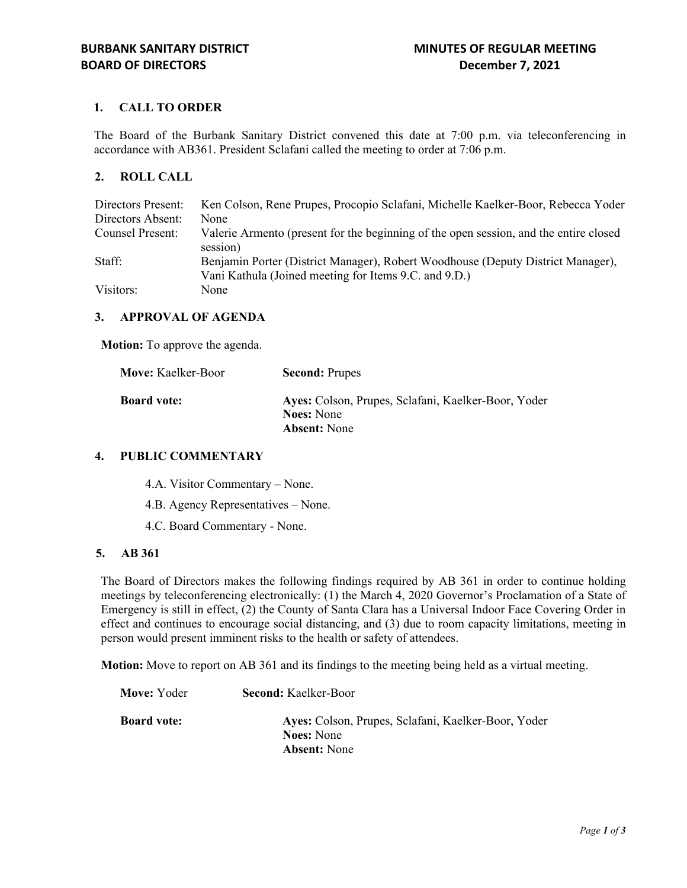# **1. CALL TO ORDER**

The Board of the Burbank Sanitary District convened this date at 7:00 p.m. via teleconferencing in accordance with AB361. President Sclafani called the meeting to order at 7:06 p.m.

## **2. ROLL CALL**

| Directors Present: | Ken Colson, Rene Prupes, Procopio Sclafani, Michelle Kaelker-Boor, Rebecca Yoder      |
|--------------------|---------------------------------------------------------------------------------------|
| Directors Absent:  | None                                                                                  |
| Counsel Present:   | Valerie Armento (present for the beginning of the open session, and the entire closed |
|                    | session)                                                                              |
| Staff:             | Benjamin Porter (District Manager), Robert Woodhouse (Deputy District Manager),       |
|                    | Vani Kathula (Joined meeting for Items 9.C. and 9.D.)                                 |
| Visitors:          | None                                                                                  |

## **3. APPROVAL OF AGENDA**

**Motion:** To approve the agenda.

| Move: Kaelker-Boor | <b>Second: Prupes</b>                                                    |
|--------------------|--------------------------------------------------------------------------|
| <b>Board vote:</b> | Ayes: Colson, Prupes, Sclafani, Kaelker-Boor, Yoder<br><b>Noes:</b> None |
|                    | <b>Absent:</b> None                                                      |

## **4. PUBLIC COMMENTARY**

4.A. Visitor Commentary – None.

- 4.B. Agency Representatives None.
- 4.C. Board Commentary None.

#### **5. AB 361**

The Board of Directors makes the following findings required by AB 361 in order to continue holding meetings by teleconferencing electronically: (1) the March 4, 2020 Governor's Proclamation of a State of Emergency is still in effect, (2) the County of Santa Clara has a Universal Indoor Face Covering Order in effect and continues to encourage social distancing, and (3) due to room capacity limitations, meeting in person would present imminent risks to the health or safety of attendees.

**Motion:** Move to report on AB 361 and its findings to the meeting being held as a virtual meeting.

| Move: Yoder        | <b>Second: Kaelker-Boor</b>                                                                     |
|--------------------|-------------------------------------------------------------------------------------------------|
| <b>Board vote:</b> | Ayes: Colson, Prupes, Sclafani, Kaelker-Boor, Yoder<br><b>Noes:</b> None<br><b>Absent:</b> None |
|                    |                                                                                                 |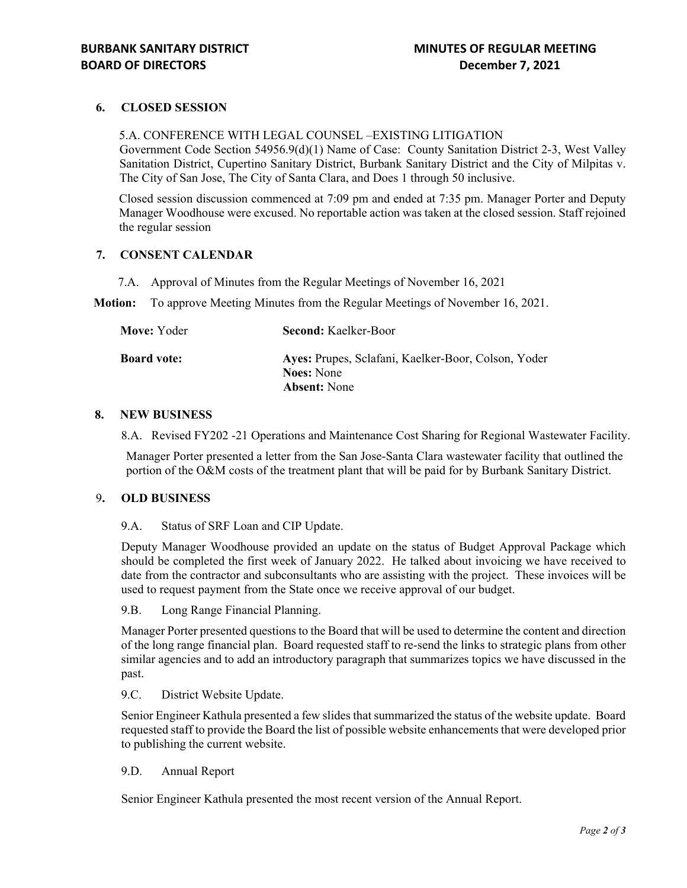## **6. CLOSED SESSION**

5.A. CONFERENCE WITH LEGAL COUNSEL –EXISTING LITIGATION Government Code Section 54956.9(d)(1) Name of Case: County Sanitation District 2-3, West Valley Sanitation District, Cupertino Sanitary District, Burbank Sanitary District and the City of Milpitas v. The City of San Jose, The City of Santa Clara, and Does 1 through 50 inclusive.

Closed session discussion commenced at 7:09 pm and ended at 7:35 pm. Manager Porter and Deputy Manager Woodhouse were excused. No reportable action was taken at the closed session. Staff rejoined the regular session

## **7. CONSENT CALENDAR**

7.A. Approval of Minutes from the Regular Meetings of November 16, 2021

**Motion:** To approve Meeting Minutes from the Regular Meetings of November 16, 2021.

| <b>Second: Kaelker-Boor</b>                                                                     |
|-------------------------------------------------------------------------------------------------|
| Ayes: Prupes, Sclafani, Kaelker-Boor, Colson, Yoder<br><b>Noes:</b> None<br><b>Absent:</b> None |
|                                                                                                 |

## **8. NEW BUSINESS**

8.A. Revised FY202 -21 Operations and Maintenance Cost Sharing for Regional Wastewater Facility.

Manager Porter presented a letter from the San Jose-Santa Clara wastewater facility that outlined the portion of the O&M costs of the treatment plant that will be paid for by Burbank Sanitary District.

#### 9**. OLD BUSINESS**

9.A. Status of SRF Loan and CIP Update.

Deputy Manager Woodhouse provided an update on the status of Budget Approval Package which should be completed the first week of January 2022. He talked about invoicing we have received to date from the contractor and subconsultants who are assisting with the project. These invoices will be used to request payment from the State once we receive approval of our budget.

9.B. Long Range Financial Planning.

Manager Porter presented questions to the Board that will be used to determine the content and direction of the long range financial plan. Board requested staff to re-send the links to strategic plans from other similar agencies and to add an introductory paragraph that summarizes topics we have discussed in the past.

9.C. District Website Update.

Senior Engineer Kathula presented a few slides that summarized the status of the website update. Board requested staff to provide the Board the list of possible website enhancements that were developed prior to publishing the current website.

## 9.D. Annual Report

Senior Engineer Kathula presented the most recent version of the Annual Report.